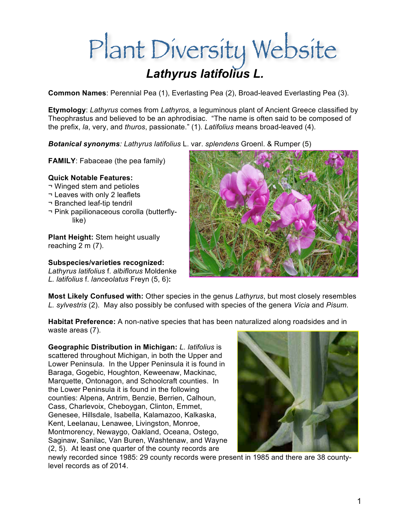# *Lathyrus latifolius L.*

**Common Names**: Perennial Pea (1), Everlasting Pea (2), Broad-leaved Everlasting Pea (3).

**Etymology**: *Lathyrus* comes from *Lathyros*, a leguminous plant of Ancient Greece classified by Theophrastus and believed to be an aphrodisiac. "The name is often said to be composed of the prefix, *la*, very, and *thuros*, passionate." (1). *Latifolius* means broad-leaved (4).

*Botanical synonyms: Lathyrus latifolius* L. var. *splendens* Groenl. & Rumper (5)

**FAMILY**: Fabaceae (the pea family)

## **Quick Notable Features:**

- ¬ Winged stem and petioles
- ¬ Leaves with only 2 leaflets
- ¬ Branched leaf-tip tendril
- ¬ Pink papilionaceous corolla (butterflylike)

**Plant Height:** Stem height usually reaching 2 m (7).

**Subspecies/varieties recognized:** 

*Lathyrus latifolius* f. *albiflorus* Moldenke *L. latifolius* f. *lanceolatus* Freyn (5, 6)**:**



**Most Likely Confused with:** Other species in the genus *Lathyrus*, but most closely resembles *L. sylvestris* (2). May also possibly be confused with species of the genera *Vicia* and *Pisum.*

**Habitat Preference:** A non-native species that has been naturalized along roadsides and in waste areas (7).

**Geographic Distribution in Michigan:** *L. latifolius* is scattered throughout Michigan, in both the Upper and Lower Peninsula. In the Upper Peninsula it is found in Baraga, Gogebic, Houghton, Keweenaw, Mackinac, Marquette, Ontonagon, and Schoolcraft counties. In the Lower Peninsula it is found in the following counties: Alpena, Antrim, Benzie, Berrien, Calhoun, Cass, Charlevoix, Cheboygan, Clinton, Emmet, Genesee, Hillsdale, Isabella, Kalamazoo, Kalkaska, Kent, Leelanau, Lenawee, Livingston, Monroe, Montmorency, Newaygo, Oakland, Oceana, Ostego, Saginaw, Sanilac, Van Buren, Washtenaw, and Wayne (2, 5). At least one quarter of the county records are



newly recorded since 1985: 29 county records were present in 1985 and there are 38 countylevel records as of 2014.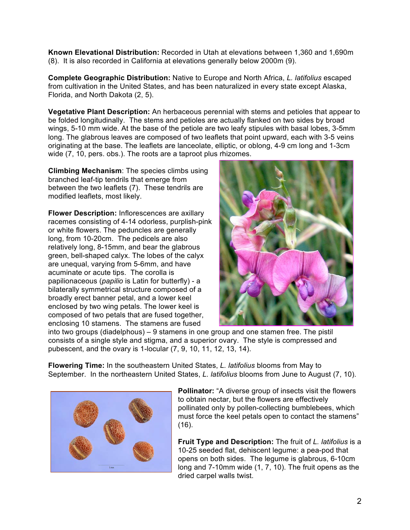**Known Elevational Distribution:** Recorded in Utah at elevations between 1,360 and 1,690m (8). It is also recorded in California at elevations generally below 2000m (9).

**Complete Geographic Distribution:** Native to Europe and North Africa, *L. latifolius* escaped from cultivation in the United States, and has been naturalized in every state except Alaska, Florida, and North Dakota (2, 5).

**Vegetative Plant Description:** An herbaceous perennial with stems and petioles that appear to be folded longitudinally. The stems and petioles are actually flanked on two sides by broad wings, 5-10 mm wide. At the base of the petiole are two leafy stipules with basal lobes, 3-5mm long. The glabrous leaves are composed of two leaflets that point upward, each with 3-5 veins originating at the base. The leaflets are lanceolate, elliptic, or oblong, 4-9 cm long and 1-3cm wide (7, 10, pers. obs.). The roots are a taproot plus rhizomes.

**Climbing Mechanism**: The species climbs using branched leaf-tip tendrils that emerge from between the two leaflets (7). These tendrils are modified leaflets, most likely.

**Flower Description:** Inflorescences are axillary racemes consisting of 4-14 odorless, purplish-pink or white flowers. The peduncles are generally long, from 10-20cm. The pedicels are also relatively long, 8-15mm, and bear the glabrous green, bell-shaped calyx. The lobes of the calyx are unequal, varying from 5-6mm, and have acuminate or acute tips. The corolla is papilionaceous (*papilio* is Latin for butterfly) - a bilaterally symmetrical structure composed of a broadly erect banner petal, and a lower keel enclosed by two wing petals. The lower keel is composed of two petals that are fused together, enclosing 10 stamens. The stamens are fused



into two groups (diadelphous) – 9 stamens in one group and one stamen free. The pistil consists of a single style and stigma, and a superior ovary. The style is compressed and pubescent, and the ovary is 1-locular (7, 9, 10, 11, 12, 13, 14).

**Flowering Time:** In the southeastern United States, *L. latifolius* blooms from May to September. In the northeastern United States, *L. latifolius* blooms from June to August (7, 10).



**Pollinator:** "A diverse group of insects visit the flowers to obtain nectar, but the flowers are effectively pollinated only by pollen-collecting bumblebees, which must force the keel petals open to contact the stamens" (16).

**Fruit Type and Description:** The fruit of *L. latifolius* is a 10-25 seeded flat, dehiscent legume: a pea-pod that opens on both sides. The legume is glabrous, 6-10cm long and 7-10mm wide (1, 7, 10). The fruit opens as the dried carpel walls twist.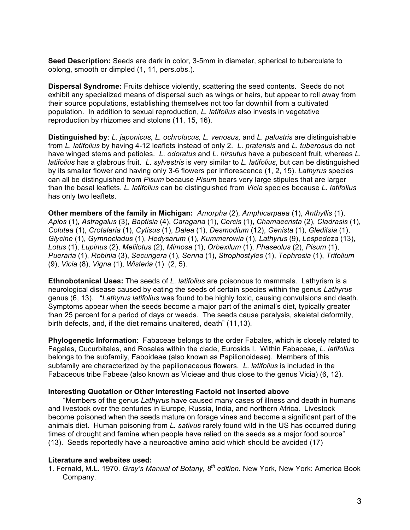**Seed Description:** Seeds are dark in color, 3-5mm in diameter, spherical to tuberculate to oblong, smooth or dimpled (1, 11, pers.obs.).

**Dispersal Syndrome:** Fruits dehisce violently, scattering the seed contents. Seeds do not exhibit any specialized means of dispersal such as wings or hairs, but appear to roll away from their source populations, establishing themselves not too far downhill from a cultivated population. In addition to sexual reproduction, *L. latifolius* also invests in vegetative reproduction by rhizomes and stolons (11, 15, 16).

**Distinguished by**: *L. japonicus, L. ochrolucus, L. venosus,* and *L. palustris* are distinguishable from *L. latifolius* by having 4-12 leaflets instead of only 2. *L. pratensis* and *L. tuberosus* do not have winged stems and petioles. *L. odoratus* and *L. hirsutus* have a pubescent fruit, whereas *L. latifolius* has a glabrous fruit. *L. sylvestris* is very similar to *L. latifolius*, but can be distinguished by its smaller flower and having only 3-6 flowers per inflorescence (1, 2, 15). *Lathyrus* species can all be distinguished from *Pisum* because *Pisum* bears very large stipules that are larger than the basal leaflets. *L. latifolius* can be distinguished from *Vicia* species because *L. latifolius* has only two leaflets.

**Other members of the family in Michigan:** *Amorpha* (2), *Amphicarpaea* (1), *Anthyllis* (1), *Apios* (1), *Astragalus* (3), *Baptisia* (4), *Caragana* (1), *Cercis* (1), *Chamaecrista* (2), *Cladrasis* (1), *Colutea* (1), *Crotalaria* (1), *Cytisus* (1), *Dalea* (1), *Desmodium* (12), *Genista* (1), *Gleditsia* (1), *Glycine* (1), *Gymnocladus* (1), *Hedysarum* (1), *Kummerowia* (1), *Lathyrus* (9), *Lespedeza* (13), *Lotus* (1), *Lupinus* (2), *Melilotus* (2), *Mimosa* (1), *Orbexilum* (1), *Phaseolus* (2), *Pisum* (1), *Pueraria* (1), *Robinia* (3), *Securigera* (1), *Senna* (1), *Strophostyles* (1), *Tephrosia* (1), *Trifolium*  (9), *Vicia* (8), *Vigna* (1), *Wisteria* (1) (2, 5).

**Ethnobotanical Uses:** The seeds of *L. latifolius* are poisonous to mammals. Lathyrism is a neurological disease caused by eating the seeds of certain species within the genus *Lathyrus* genus (6, 13). "*Lathyrus latifolius* was found to be highly toxic, causing convulsions and death. Symptoms appear when the seeds become a major part of the animal's diet, typically greater than 25 percent for a period of days or weeds. The seeds cause paralysis, skeletal deformity, birth defects, and, if the diet remains unaltered, death" (11,13).

**Phylogenetic Information**: Fabaceae belongs to the order Fabales, which is closely related to Fagales, Cucurbitales, and Rosales within the clade, Eurosids I. Within Fabaceae, *L. latifolius* belongs to the subfamily, Faboideae (also known as Papilionoideae). Members of this subfamily are characterized by the papilionaceous flowers. *L. latifolius* is included in the Fabaceous tribe Fabeae (also known as Vicieae and thus close to the genus Vicia) (6, 12).

#### **Interesting Quotation or Other Interesting Factoid not inserted above**

"Members of the genus *Lathyrus* have caused many cases of illness and death in humans and livestock over the centuries in Europe, Russia, India, and northern Africa. Livestock become poisoned when the seeds mature on forage vines and become a significant part of the animals diet. Human poisoning from *L. sativus* rarely found wild in the US has occurred during times of drought and famine when people have relied on the seeds as a major food source" (13). Seeds reportedly have a neuroactive amino acid which should be avoided (17)

## **Literature and websites used:**

1. Fernald, M.L. 1970. *Gray's Manual of Botany, 8th edition.* New York, New York: America Book Company.